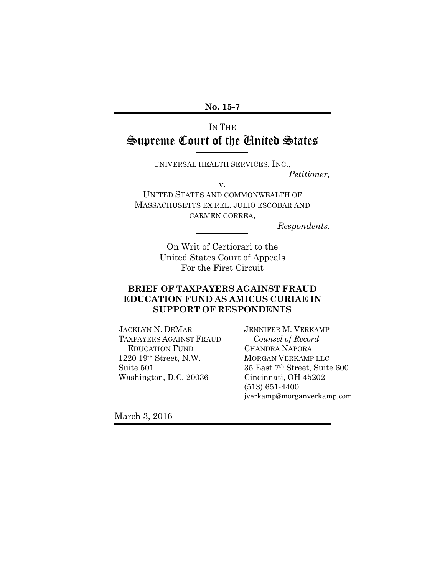#### **No. 15-7**

# IN THE Supreme Court of the United States

UNIVERSAL HEALTH SERVICES, INC.,

*Petitioner,*

v.

UNITED STATES AND COMMONWEALTH OF MASSACHUSETTS EX REL. JULIO ESCOBAR AND CARMEN CORREA,

*Respondents.*

On Writ of Certiorari to the United States Court of Appeals For the First Circuit

## **BRIEF OF TAXPAYERS AGAINST FRAUD EDUCATION FUND AS AMICUS CURIAE IN SUPPORT OF RESPONDENTS**

JACKLYN N. DEMAR TAXPAYERS AGAINST FRAUD EDUCATION FUND 1220 19th Street, N.W. Suite 501 Washington, D.C. 20036

JENNIFER M. VERKAMP *Counsel of Record*  CHANDRA NAPORA MORGAN VERKAMP LLC 35 East 7th Street, Suite 600 Cincinnati, OH 45202 (513) 651-4400 jverkamp@morganverkamp.com

March 3, 2016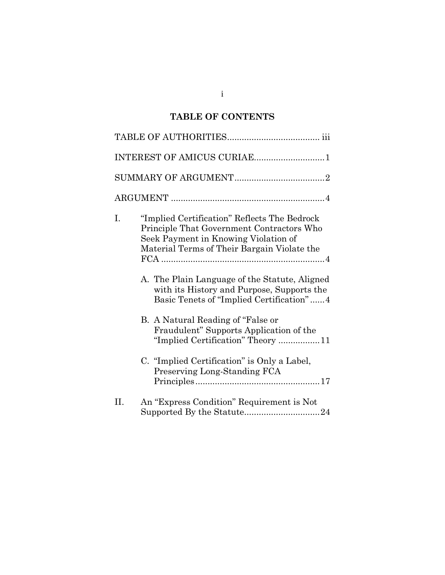# **TABLE OF CONTENTS**

|    | INTEREST OF AMICUS CURIAE1                                                                                                                                                                                                                                                                                                                                                                                                                                                                                                      |
|----|---------------------------------------------------------------------------------------------------------------------------------------------------------------------------------------------------------------------------------------------------------------------------------------------------------------------------------------------------------------------------------------------------------------------------------------------------------------------------------------------------------------------------------|
|    |                                                                                                                                                                                                                                                                                                                                                                                                                                                                                                                                 |
|    |                                                                                                                                                                                                                                                                                                                                                                                                                                                                                                                                 |
| Ι. | "Implied Certification" Reflects The Bedrock<br>Principle That Government Contractors Who<br>Seek Payment in Knowing Violation of<br>Material Terms of Their Bargain Violate the<br>A. The Plain Language of the Statute, Aligned<br>with its History and Purpose, Supports the<br>Basic Tenets of "Implied Certification"4<br>B. A Natural Reading of "False or<br>Fraudulent" Supports Application of the<br>"Implied Certification" Theory 11<br>C. "Implied Certification" is Only a Label,<br>Preserving Long-Standing FCA |
| П. | An "Express Condition" Requirement is Not                                                                                                                                                                                                                                                                                                                                                                                                                                                                                       |

i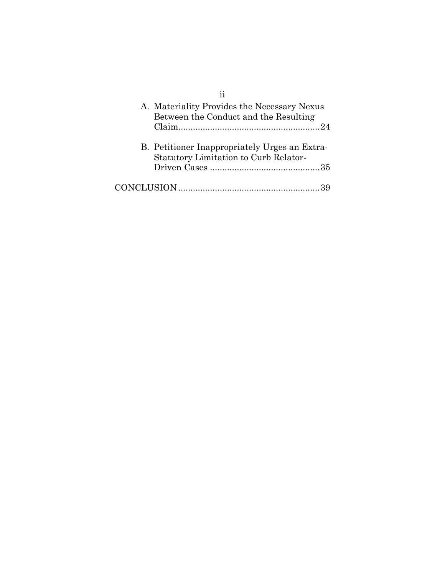| A. Materiality Provides the Necessary Nexus<br>Between the Conduct and the Resulting   |
|----------------------------------------------------------------------------------------|
|                                                                                        |
| B. Petitioner Inappropriately Urges an Extra-<br>Statutory Limitation to Curb Relator- |
|                                                                                        |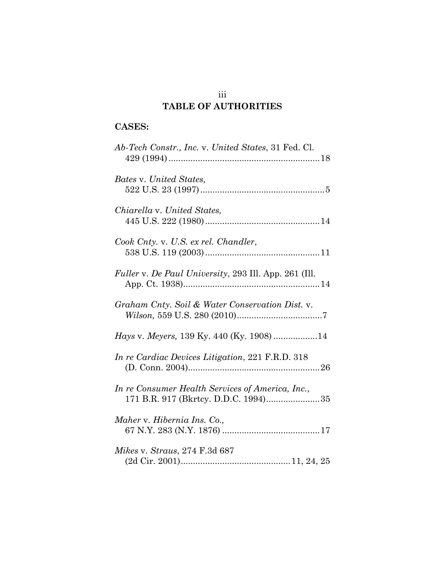# iii **TABLE OF AUTHORITIES**

# **CASES:**

| Ab-Tech Constr., Inc. v. United States, 31 Fed. Cl.                                      |
|------------------------------------------------------------------------------------------|
| Bates v. United States,                                                                  |
| Chiarella v. United States,                                                              |
| Cook Cnty. v. U.S. ex rel. Chandler,                                                     |
| Fuller v. De Paul University, 293 Ill. App. 261 (Ill.                                    |
| Graham Cnty. Soil & Water Conservation Dist. v.                                          |
| <i>Hays v. Meyers, 139 Ky. 440 (Ky. 1908)</i> 14                                         |
| In re Cardiac Devices Litigation, 221 F.R.D. 318                                         |
| In re Consumer Health Services of America, Inc.,<br>171 B.R. 917 (Bkrtcy. D.D.C. 1994)35 |
| Maher v. Hibernia Ins. Co.,                                                              |
| Mikes v. Straus, 274 F.3d 687                                                            |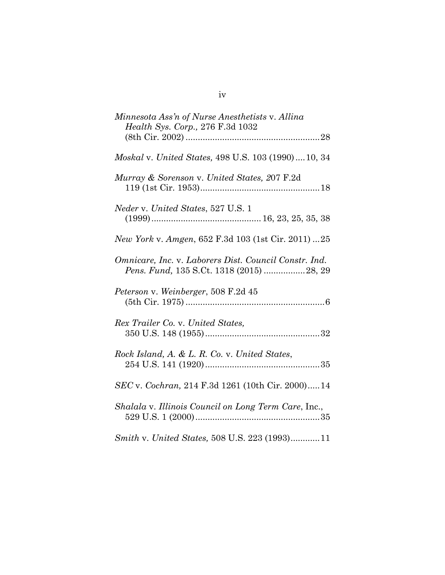| Minnesota Ass'n of Nurse Anesthetists v. Allina<br>Health Sys. Corp., 276 F.3d 1032               |
|---------------------------------------------------------------------------------------------------|
|                                                                                                   |
| Moskal v. United States, 498 U.S. 103 (1990)10, 34                                                |
| Murray & Sorenson v. United States, 207 F.2d                                                      |
| <i>Neder v. United States, 527 U.S. 1</i>                                                         |
| New York v. Amgen, 652 F.3d 103 (1st Cir. 2011) 25                                                |
| Omnicare, Inc. v. Laborers Dist. Council Constr. Ind.<br>Pens. Fund, 135 S.Ct. 1318 (2015) 28, 29 |
| Peterson v. Weinberger, 508 F.2d 45                                                               |
| Rex Trailer Co. v. United States,                                                                 |
| Rock Island, A. & L. R. Co. v. United States,                                                     |
| SEC v. Cochran, 214 F.3d 1261 (10th Cir. 2000) 14                                                 |
| Shalala v. Illinois Council on Long Term Care, Inc.,                                              |
| Smith v. United States, 508 U.S. 223 (1993)11                                                     |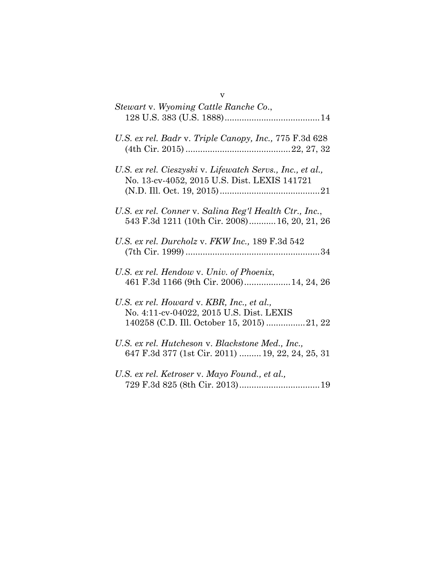| Stewart v. Wyoming Cattle Ranche Co.,                                                                     |
|-----------------------------------------------------------------------------------------------------------|
| U.S. ex rel. Badr v. Triple Canopy, Inc., 775 F.3d 628                                                    |
| U.S. ex rel. Cieszyski v. Lifewatch Servs., Inc., et al.,<br>No. 13-cv-4052, 2015 U.S. Dist. LEXIS 141721 |
| U.S. ex rel. Conner v. Salina Reg'l Health Ctr., Inc.,<br>543 F.3d 1211 (10th Cir. 2008) 16, 20, 21, 26   |
| U.S. ex rel. Durcholz v. FKW Inc., 189 F.3d 542                                                           |
| U.S. ex rel. Hendow v. Univ. of Phoenix,<br>461 F.3d 1166 (9th Cir. 2006) 14, 24, 26                      |
| U.S. ex rel. Howard v. KBR, Inc., et al.,<br>No. 4:11-cv-04022, 2015 U.S. Dist. LEXIS                     |
| U.S. ex rel. Hutcheson v. Blackstone Med., Inc.,<br>647 F.3d 377 (1st Cir. 2011)  19, 22, 24, 25, 31      |
| U.S. ex rel. Ketroser v. Mayo Found., et al.,                                                             |

v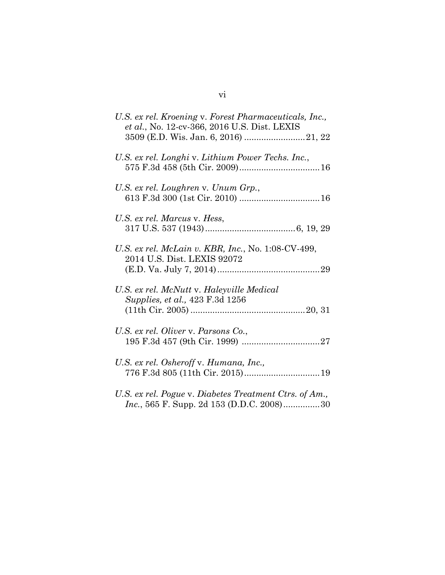| U.S. ex rel. Kroening v. Forest Pharmaceuticals, Inc.,<br>et al., No. 12-cv-366, 2016 U.S. Dist. LEXIS      |
|-------------------------------------------------------------------------------------------------------------|
| U.S. ex rel. Longhi v. Lithium Power Techs. Inc.,                                                           |
| U.S. ex rel. Loughren v. Unum Grp.,                                                                         |
| U.S. ex rel. Marcus v. Hess,                                                                                |
| U.S. ex rel. McLain v. KBR, Inc., No. 1:08-CV-499,<br>2014 U.S. Dist. LEXIS 92072                           |
| U.S. ex rel. McNutt v. Haleyville Medical<br>Supplies, et al., 423 F.3d 1256                                |
| U.S. ex rel. Oliver v. Parsons Co.,                                                                         |
| U.S. ex rel. Osheroff v. Humana, Inc.,                                                                      |
| U.S. ex rel. Pogue v. Diabetes Treatment Ctrs. of Am.,<br><i>Inc.</i> , 565 F. Supp. 2d 153 (D.D.C. 2008)30 |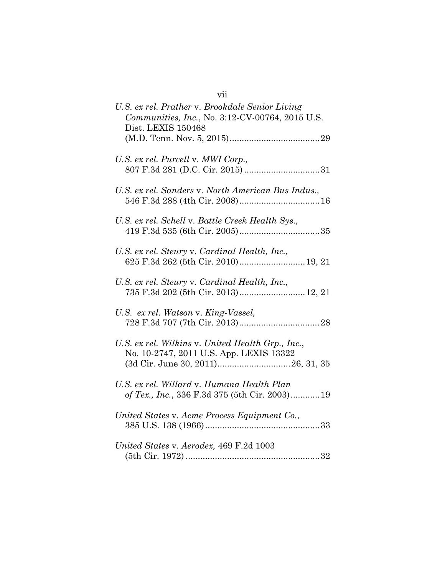| VII                                                                                                                      |
|--------------------------------------------------------------------------------------------------------------------------|
| U.S. ex rel. Prather v. Brookdale Senior Living<br>Communities, Inc., No. 3:12-CV-00764, 2015 U.S.<br>Dist. LEXIS 150468 |
| U.S. ex rel. Purcell v. MWI Corp.,                                                                                       |
| U.S. ex rel. Sanders v. North American Bus Indus.,                                                                       |
| U.S. ex rel. Schell v. Battle Creek Health Sys.,                                                                         |
| U.S. ex rel. Steury v. Cardinal Health, Inc.,<br>625 F.3d 262 (5th Cir. 2010) 19, 21                                     |
| U.S. ex rel. Steury v. Cardinal Health, Inc.,<br>735 F.3d 202 (5th Cir. 2013) 12, 21                                     |
| U.S. ex rel. Watson v. King-Vassel,                                                                                      |
| U.S. ex rel. Wilkins v. United Health Grp., Inc.,<br>No. 10-2747, 2011 U.S. App. LEXIS 13322                             |
| U.S. ex rel. Willard v. Humana Health Plan<br>of Tex., Inc., 336 F.3d 375 (5th Cir. 2003) 19                             |
| United States v. Acme Process Equipment Co.,                                                                             |
| United States v. Aerodex, 469 F.2d 1003                                                                                  |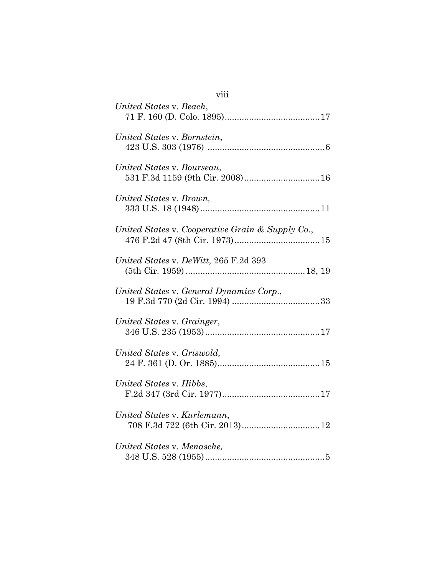| viii                                                           |
|----------------------------------------------------------------|
| United States v. Beach,                                        |
| United States v. Bornstein,                                    |
| United States v. Bourseau,<br>531 F.3d 1159 (9th Cir. 2008) 16 |
| United States v. Brown,                                        |
| United States v. Cooperative Grain & Supply Co.,               |
| United States v. DeWitt, 265 F.2d 393                          |
| United States v. General Dynamics Corp.,                       |
| United States v. Grainger,                                     |
| United States v. Griswold,                                     |
| United States v. Hibbs,                                        |
| United States v. Kurlemann,                                    |
| United States v. Menasche,                                     |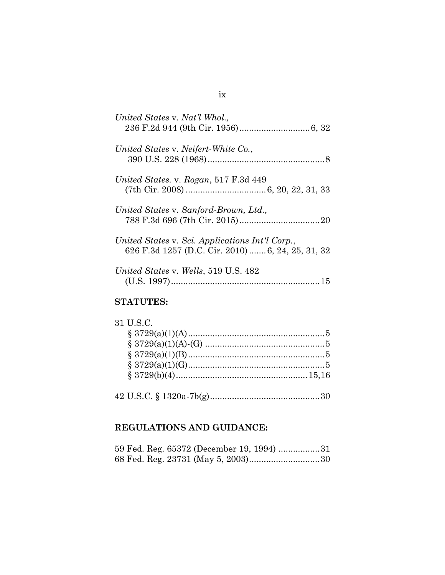| United States v. Nat'l Whol.,                                                                        |
|------------------------------------------------------------------------------------------------------|
| United States v. Neifert-White Co.,                                                                  |
| United States. v. Rogan, 517 F.3d 449                                                                |
| United States v. Sanford-Brown, Ltd.,                                                                |
| United States v. Sci. Applications Int'l Corp.,<br>626 F.3d 1257 (D.C. Cir. 2010)  6, 24, 25, 31, 32 |
| United States v. Wells, 519 U.S. 482                                                                 |
|                                                                                                      |

### **STATUTES:**

| 31 U.S.C. |  |
|-----------|--|
|           |  |
|           |  |
|           |  |
|           |  |
|           |  |
|           |  |

# **REGULATIONS AND GUIDANCE:**

|  |  |  | 59 Fed. Reg. 65372 (December 19, 1994) 31 |
|--|--|--|-------------------------------------------|
|  |  |  |                                           |

#### ix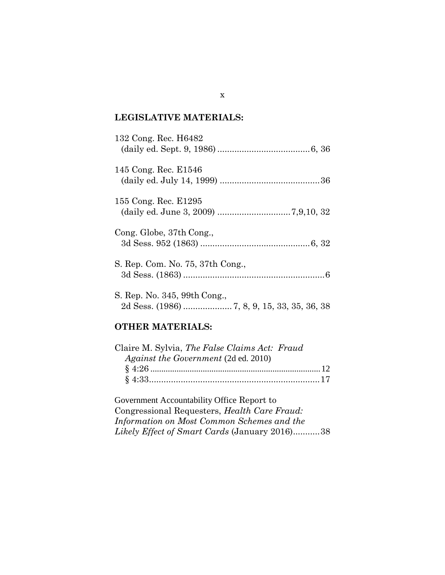## **LEGISLATIVE MATERIALS:**

| 132 Cong. Rec. H6482             |  |
|----------------------------------|--|
| 145 Cong. Rec. E1546             |  |
| 155 Cong. Rec. E1295             |  |
| Cong. Globe, 37th Cong.,         |  |
| S. Rep. Com. No. 75, 37th Cong., |  |
| S. Rep. No. 345, 99th Cong.,     |  |

## **OTHER MATERIALS:**

| Claire M. Sylvia, The False Claims Act: Fraud |  |
|-----------------------------------------------|--|
| Against the Government (2d ed. 2010)          |  |
|                                               |  |
|                                               |  |

Government Accountability Office Report to Congressional Requesters, *Health Care Fraud: Information on Most Common Schemes and the Likely Effect of Smart Cards* (January 2016)...........38

x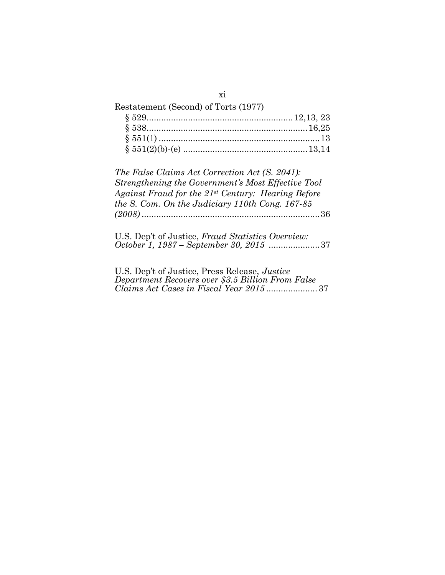| Restatement (Second) of Torts (1977) |  |
|--------------------------------------|--|
|                                      |  |
|                                      |  |
|                                      |  |
|                                      |  |
|                                      |  |

*The False Claims Act Correction Act (S. 2041): Strengthening the Government's Most Effective Tool Against Fraud for the 21st Century: Hearing Before the S. Com. On the Judiciary 110th Cong. 167-85 (2008)* .........................................................................36

U.S. Dep't of Justice, *Fraud Statistics Overview: October 1, 1987 – September 30, 2015* .....................37

U.S. Dep't of Justice, Press Release, *Justice Department Recovers over \$3.5 Billion From False Claims Act Cases in Fiscal Year 2015* ..................... 37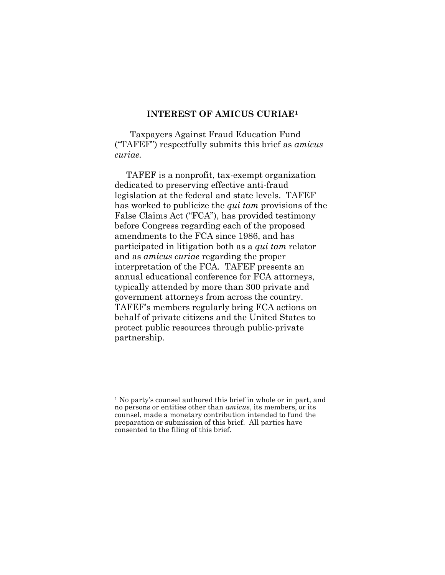#### **INTEREST OF AMICUS CURIAE<sup>1</sup>**

Taxpayers Against Fraud Education Fund ("TAFEF") respectfully submits this brief as *amicus curiae.* 

TAFEF is a nonprofit, tax-exempt organization dedicated to preserving effective anti-fraud legislation at the federal and state levels. TAFEF has worked to publicize the *qui tam* provisions of the False Claims Act ("FCA"), has provided testimony before Congress regarding each of the proposed amendments to the FCA since 1986, and has participated in litigation both as a *qui tam* relator and as *amicus curiae* regarding the proper interpretation of the FCA*.* TAFEF presents an annual educational conference for FCA attorneys, typically attended by more than 300 private and government attorneys from across the country. TAFEF's members regularly bring FCA actions on behalf of private citizens and the United States to protect public resources through public-private partnership.

<sup>1</sup> No party's counsel authored this brief in whole or in part, and no persons or entities other than *amicus*, its members, or its counsel, made a monetary contribution intended to fund the preparation or submission of this brief. All parties have consented to the filing of this brief.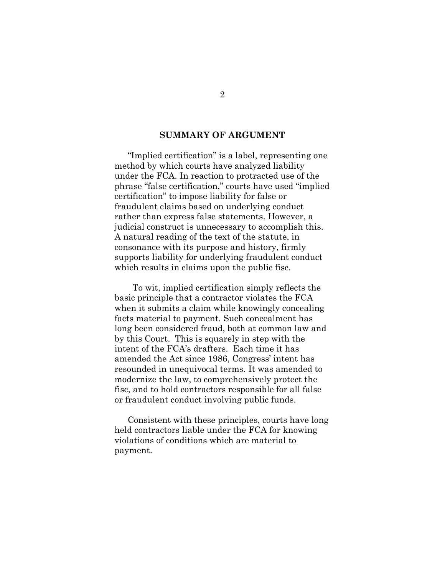#### **SUMMARY OF ARGUMENT**

"Implied certification" is a label, representing one method by which courts have analyzed liability under the FCA. In reaction to protracted use of the phrase "false certification," courts have used "implied certification" to impose liability for false or fraudulent claims based on underlying conduct rather than express false statements. However, a judicial construct is unnecessary to accomplish this. A natural reading of the text of the statute, in consonance with its purpose and history, firmly supports liability for underlying fraudulent conduct which results in claims upon the public fisc.

 To wit, implied certification simply reflects the basic principle that a contractor violates the FCA when it submits a claim while knowingly concealing facts material to payment. Such concealment has long been considered fraud, both at common law and by this Court. This is squarely in step with the intent of the FCA's drafters. Each time it has amended the Act since 1986, Congress' intent has resounded in unequivocal terms. It was amended to modernize the law, to comprehensively protect the fisc, and to hold contractors responsible for all false or fraudulent conduct involving public funds.

Consistent with these principles, courts have long held contractors liable under the FCA for knowing violations of conditions which are material to payment.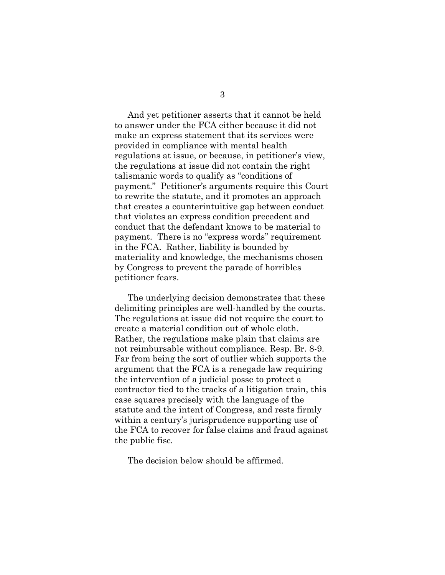And yet petitioner asserts that it cannot be held to answer under the FCA either because it did not make an express statement that its services were provided in compliance with mental health regulations at issue, or because, in petitioner's view, the regulations at issue did not contain the right talismanic words to qualify as "conditions of payment." Petitioner's arguments require this Court to rewrite the statute, and it promotes an approach that creates a counterintuitive gap between conduct that violates an express condition precedent and conduct that the defendant knows to be material to payment. There is no "express words" requirement in the FCA. Rather, liability is bounded by materiality and knowledge, the mechanisms chosen by Congress to prevent the parade of horribles petitioner fears.

The underlying decision demonstrates that these delimiting principles are well-handled by the courts. The regulations at issue did not require the court to create a material condition out of whole cloth. Rather, the regulations make plain that claims are not reimbursable without compliance. Resp. Br. 8-9. Far from being the sort of outlier which supports the argument that the FCA is a renegade law requiring the intervention of a judicial posse to protect a contractor tied to the tracks of a litigation train, this case squares precisely with the language of the statute and the intent of Congress, and rests firmly within a century's jurisprudence supporting use of the FCA to recover for false claims and fraud against the public fisc.

The decision below should be affirmed.

3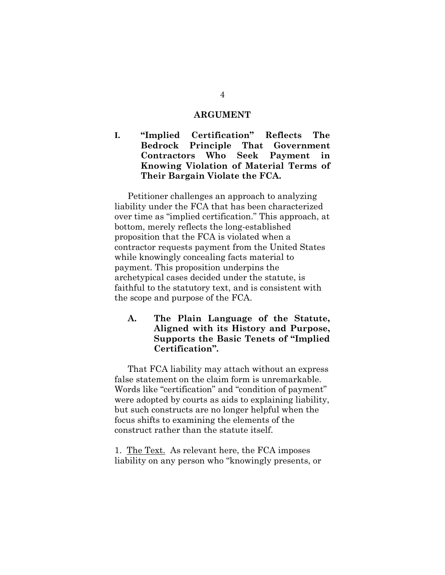#### **ARGUMENT**

**I. "Implied Certification" Reflects The Bedrock Principle That Government Contractors Who Seek Payment in Knowing Violation of Material Terms of Their Bargain Violate the FCA.**

Petitioner challenges an approach to analyzing liability under the FCA that has been characterized over time as "implied certification." This approach, at bottom, merely reflects the long-established proposition that the FCA is violated when a contractor requests payment from the United States while knowingly concealing facts material to payment. This proposition underpins the archetypical cases decided under the statute, is faithful to the statutory text, and is consistent with the scope and purpose of the FCA.

### **A. The Plain Language of the Statute, Aligned with its History and Purpose, Supports the Basic Tenets of "Implied Certification".**

That FCA liability may attach without an express false statement on the claim form is unremarkable. Words like "certification" and "condition of payment" were adopted by courts as aids to explaining liability, but such constructs are no longer helpful when the focus shifts to examining the elements of the construct rather than the statute itself.

1. The Text. As relevant here, the FCA imposes liability on any person who "knowingly presents, or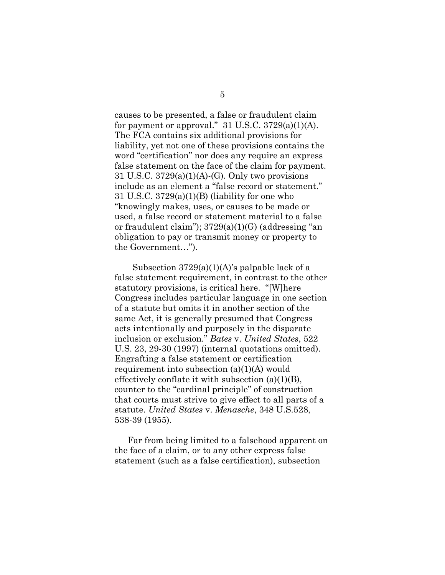causes to be presented, a false or fraudulent claim for payment or approval."  $31$  U.S.C.  $3729(a)(1)(A)$ . The FCA contains six additional provisions for liability, yet not one of these provisions contains the word "certification" nor does any require an express false statement on the face of the claim for payment. 31 U.S.C.  $3729(a)(1)(A)-(G)$ . Only two provisions include as an element a "false record or statement." 31 U.S.C. 3729(a)(1)(B) (liability for one who "knowingly makes, uses, or causes to be made or used, a false record or statement material to a false or fraudulent claim"); 3729(a)(1)(G) (addressing "an obligation to pay or transmit money or property to the Government…").

 Subsection 3729(a)(1)(A)'s palpable lack of a false statement requirement, in contrast to the other statutory provisions, is critical here. "[W]here Congress includes particular language in one section of a statute but omits it in another section of the same Act, it is generally presumed that Congress acts intentionally and purposely in the disparate inclusion or exclusion." *Bates* v. *United States*, 522 U.S. 23, 29-30 (1997) (internal quotations omitted). Engrafting a false statement or certification requirement into subsection (a)(1)(A) would effectively conflate it with subsection  $(a)(1)(B)$ , counter to the "cardinal principle" of construction that courts must strive to give effect to all parts of a statute. *United States* v. *Menasche*, 348 U.S.528, 538-39 (1955).

Far from being limited to a falsehood apparent on the face of a claim, or to any other express false statement (such as a false certification), subsection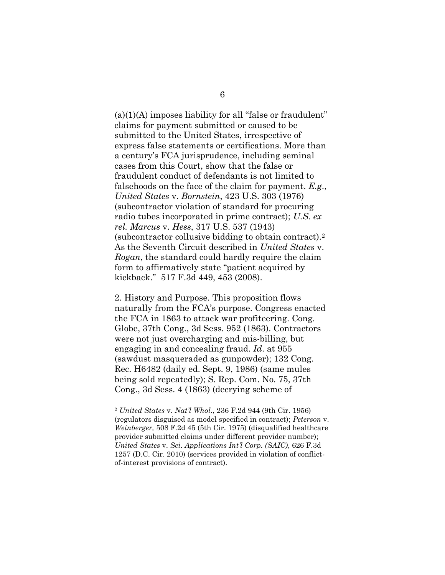$(a)(1)(A)$  imposes liability for all "false or fraudulent" claims for payment submitted or caused to be submitted to the United States, irrespective of express false statements or certifications. More than a century's FCA jurisprudence, including seminal cases from this Court, show that the false or fraudulent conduct of defendants is not limited to falsehoods on the face of the claim for payment. *E.g*., *United States* v. *Bornstein*, 423 U.S. 303 (1976) (subcontractor violation of standard for procuring radio tubes incorporated in prime contract); *U.S. ex rel. Marcus* v. *Hess*, 317 U.S. 537 (1943) (subcontractor collusive bidding to obtain contract).<sup>2</sup> As the Seventh Circuit described in *United States* v. *Rogan*, the standard could hardly require the claim form to affirmatively state "patient acquired by kickback." 517 F.3d 449, 453 (2008).

2. History and Purpose. This proposition flows naturally from the FCA's purpose. Congress enacted the FCA in 1863 to attack war profiteering. Cong. Globe, 37th Cong., 3d Sess. 952 (1863). Contractors were not just overcharging and mis-billing, but engaging in and concealing fraud. *Id*. at 955 (sawdust masqueraded as gunpowder); 132 Cong. Rec. H6482 (daily ed. Sept. 9, 1986) (same mules being sold repeatedly); S. Rep. Com. No. 75, 37th Cong., 3d Sess. 4 (1863) (decrying scheme of

<sup>2</sup> *United States* v. *Nat'l Whol.*, 236 F.2d 944 (9th Cir. 1956) (regulators disguised as model specified in contract); *Peterson* v. *Weinberger,* 508 F.2d 45 (5th Cir. 1975) (disqualified healthcare provider submitted claims under different provider number); *United States* v. *Sci. Applications Int'l Corp. (SAIC)*, 626 F.3d 1257 (D.C. Cir. 2010) (services provided in violation of conflictof-interest provisions of contract).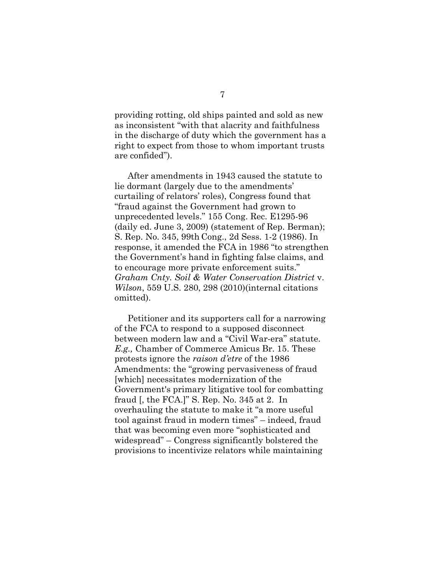providing rotting, old ships painted and sold as new as inconsistent "with that alacrity and faithfulness in the discharge of duty which the government has a right to expect from those to whom important trusts are confided").

After amendments in 1943 caused the statute to lie dormant (largely due to the amendments' curtailing of relators' roles), Congress found that "fraud against the Government had grown to unprecedented levels." 155 Cong. Rec. E1295-96 (daily ed. June 3, 2009) (statement of Rep. Berman); S. Rep. No. 345, 99th Cong., 2d Sess. 1-2 (1986). In response, it amended the FCA in 1986 "to strengthen the Government's hand in fighting false claims, and to encourage more private enforcement suits." *Graham Cnty. Soil & Water Conservation District* v. *Wilson*, 559 U.S. 280, 298 (2010)(internal citations omitted).

Petitioner and its supporters call for a narrowing of the FCA to respond to a supposed disconnect between modern law and a "Civil War-era" statute. *E.g.,* Chamber of Commerce Amicus Br. 15. These protests ignore the *raison d'etre* of the 1986 Amendments: the "growing pervasiveness of fraud [which] necessitates modernization of the Government's primary litigative tool for combatting fraud [, the FCA.]" S. Rep. No. 345 at 2. In overhauling the statute to make it "a more useful tool against fraud in modern times" – indeed, fraud that was becoming even more "sophisticated and widespread" – Congress significantly bolstered the provisions to incentivize relators while maintaining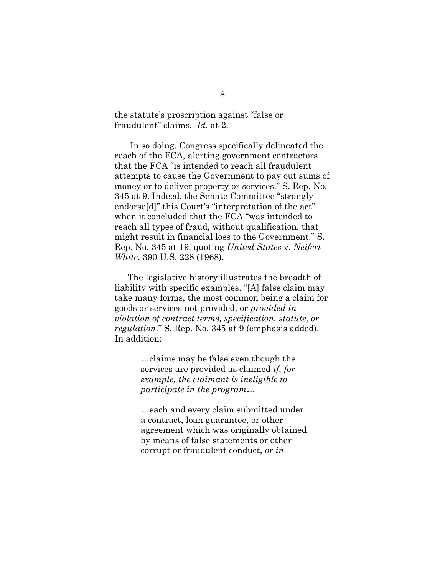the statute's proscription against "false or fraudulent" claims. *Id.* at 2.

In so doing, Congress specifically delineated the reach of the FCA, alerting government contractors that the FCA "is intended to reach all fraudulent attempts to cause the Government to pay out sums of money or to deliver property or services." S. Rep. No. 345 at 9. Indeed, the Senate Committee "strongly endorse[d]" this Court's "interpretation of the act" when it concluded that the FCA "was intended to reach all types of fraud, without qualification, that might result in financial loss to the Government." S. Rep. No. 345 at 19, quoting *United States* v. *Neifert-White*, 390 U.S. 228 (1968).

The legislative history illustrates the breadth of liability with specific examples. "[A] false claim may take many forms, the most common being a claim for goods or services not provided, or *provided in violation of contract terms, specification, statute, or regulation*." S. Rep. No. 345 at 9 (emphasis added). In addition:

> …claims may be false even though the services are provided as claimed *if, for example, the claimant is ineligible to participate in the program*…

…each and every claim submitted under a contract, loan guarantee, or other agreement which was originally obtained by means of false statements or other corrupt or fraudulent conduct, *or in*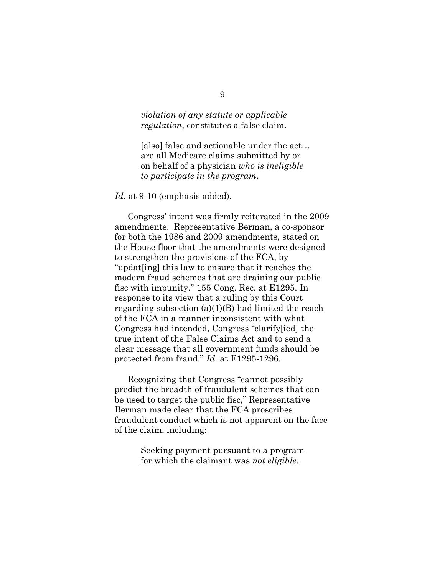#### *violation of any statute or applicable regulation*, constitutes a false claim.

[also] false and actionable under the act… are all Medicare claims submitted by or on behalf of a physician *who is ineligible to participate in the program*.

#### Id. at 9-10 (emphasis added).

Congress' intent was firmly reiterated in the 2009 amendments. Representative Berman, a co-sponsor for both the 1986 and 2009 amendments, stated on the House floor that the amendments were designed to strengthen the provisions of the FCA, by "updat[ing] this law to ensure that it reaches the modern fraud schemes that are draining our public fisc with impunity." 155 Cong. Rec. at E1295. In response to its view that a ruling by this Court regarding subsection  $(a)(1)(B)$  had limited the reach of the FCA in a manner inconsistent with what Congress had intended, Congress "clarify[ied] the true intent of the False Claims Act and to send a clear message that all government funds should be protected from fraud." *Id.* at E1295-1296*.* 

Recognizing that Congress "cannot possibly predict the breadth of fraudulent schemes that can be used to target the public fisc," Representative Berman made clear that the FCA proscribes fraudulent conduct which is not apparent on the face of the claim, including:

> Seeking payment pursuant to a program for which the claimant was *not eligible*.

#### 9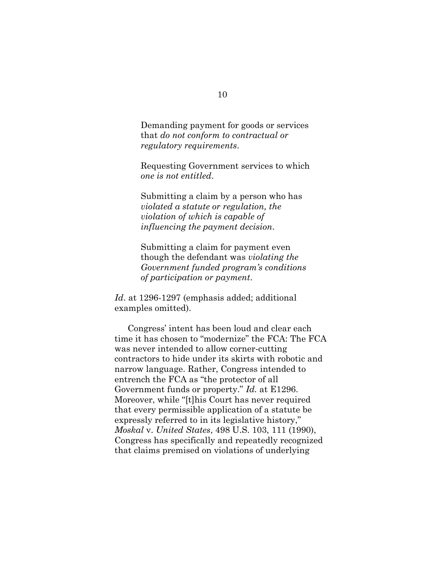Demanding payment for goods or services that *do not conform to contractual or regulatory requirements*.

Requesting Government services to which *one is not entitled*.

Submitting a claim by a person who has *violated a statute or regulation, the violation of which is capable of influencing the payment decision*.

Submitting a claim for payment even though the defendant was *violating the Government funded program's conditions of participation or payment*.

*Id*. at 1296-1297 (emphasis added; additional examples omitted).

Congress' intent has been loud and clear each time it has chosen to "modernize" the FCA: The FCA was never intended to allow corner-cutting contractors to hide under its skirts with robotic and narrow language. Rather, Congress intended to entrench the FCA as "the protector of all Government funds or property." *Id.* at E1296. Moreover, while "[t]his Court has never required that every permissible application of a statute be expressly referred to in its legislative history," *Moskal* v. *United States*, 498 U.S. 103, 111 (1990), Congress has specifically and repeatedly recognized that claims premised on violations of underlying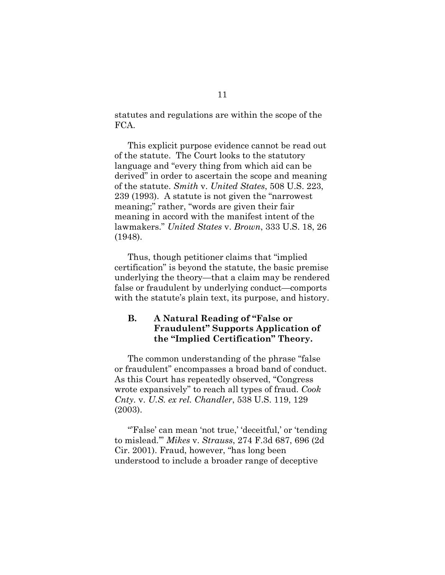statutes and regulations are within the scope of the FCA.

This explicit purpose evidence cannot be read out of the statute. The Court looks to the statutory language and "every thing from which aid can be derived" in order to ascertain the scope and meaning of the statute. *Smith* v. *United States*, 508 U.S. 223, 239 (1993). A statute is not given the "narrowest meaning;" rather, "words are given their fair meaning in accord with the manifest intent of the lawmakers." *United States* v. *Brown*, 333 U.S. 18, 26 (1948).

Thus, though petitioner claims that "implied certification" is beyond the statute, the basic premise underlying the theory—that a claim may be rendered false or fraudulent by underlying conduct—comports with the statute's plain text, its purpose, and history.

### **B. A Natural Reading of "False or Fraudulent" Supports Application of the "Implied Certification" Theory.**

The common understanding of the phrase "false or fraudulent" encompasses a broad band of conduct. As this Court has repeatedly observed, "Congress wrote expansively" to reach all types of fraud. *Cook Cnty.* v. *U.S. ex rel. Chandler*, 538 U.S. 119, 129 (2003).

"False' can mean 'not true,' 'deceitful,' or 'tending to mislead.'" *Mikes* v. *Strauss*, 274 F.3d 687, 696 (2d Cir. 2001). Fraud, however, "has long been understood to include a broader range of deceptive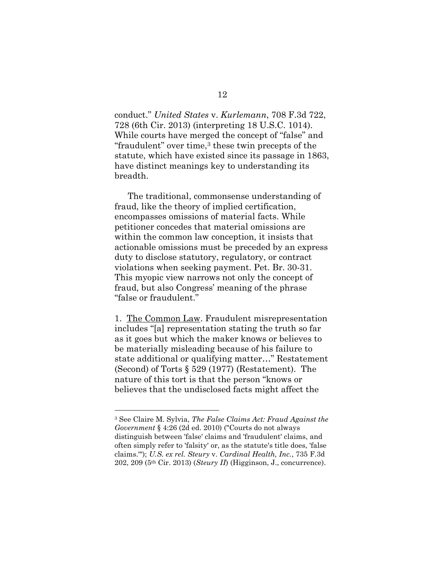conduct." *United States* v. *Kurlemann*, 708 F.3d 722, 728 (6th Cir. 2013) (interpreting 18 U.S.C. 1014). While courts have merged the concept of "false" and "fraudulent" over time, $3$  these twin precepts of the statute, which have existed since its passage in 1863, have distinct meanings key to understanding its breadth.

The traditional, commonsense understanding of fraud, like the theory of implied certification, encompasses omissions of material facts. While petitioner concedes that material omissions are within the common law conception, it insists that actionable omissions must be preceded by an express duty to disclose statutory, regulatory, or contract violations when seeking payment. Pet. Br. 30-31. This myopic view narrows not only the concept of fraud, but also Congress' meaning of the phrase "false or fraudulent."

1. The Common Law. Fraudulent misrepresentation includes "[a] representation stating the truth so far as it goes but which the maker knows or believes to be materially misleading because of his failure to state additional or qualifying matter…" Restatement (Second) of Torts § 529 (1977) (Restatement). The nature of this tort is that the person "knows or believes that the undisclosed facts might affect the

<sup>3</sup> See Claire M. Sylvia, *The False Claims Act: Fraud Against the Government* § 4:26 (2d ed. 2010) ("Courts do not always distinguish between 'false' claims and 'fraudulent' claims, and often simply refer to 'falsity' or, as the statute's title does, 'false claims.'"); *U.S. ex rel. Steury* v. *Cardinal Health, Inc.*, 735 F.3d 202, 209 (5th Cir. 2013) (*Steury II*) (Higginson, J., concurrence).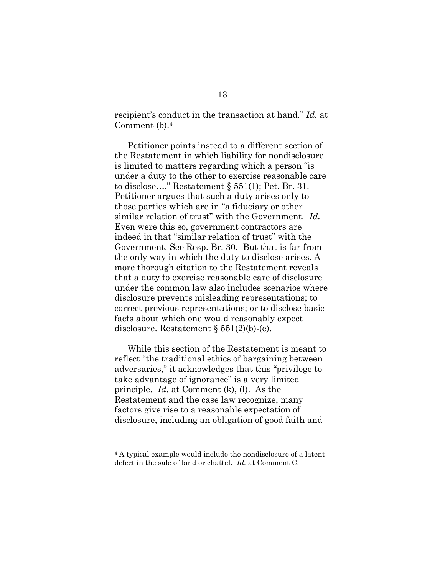recipient's conduct in the transaction at hand." *Id.* at Comment (b). 4

Petitioner points instead to a different section of the Restatement in which liability for nondisclosure is limited to matters regarding which a person "is under a duty to the other to exercise reasonable care to disclose…." Restatement § 551(1); Pet. Br. 31. Petitioner argues that such a duty arises only to those parties which are in "a fiduciary or other similar relation of trust" with the Government. *Id.*  Even were this so, government contractors are indeed in that "similar relation of trust" with the Government. See Resp. Br. 30. But that is far from the only way in which the duty to disclose arises. A more thorough citation to the Restatement reveals that a duty to exercise reasonable care of disclosure under the common law also includes scenarios where disclosure prevents misleading representations; to correct previous representations; or to disclose basic facts about which one would reasonably expect disclosure. Restatement § 551(2)(b)-(e).

While this section of the Restatement is meant to reflect "the traditional ethics of bargaining between adversaries," it acknowledges that this "privilege to take advantage of ignorance" is a very limited principle. *Id.* at Comment (k), (l). As the Restatement and the case law recognize, many factors give rise to a reasonable expectation of disclosure, including an obligation of good faith and

<sup>4</sup> A typical example would include the nondisclosure of a latent defect in the sale of land or chattel. *Id.* at Comment C.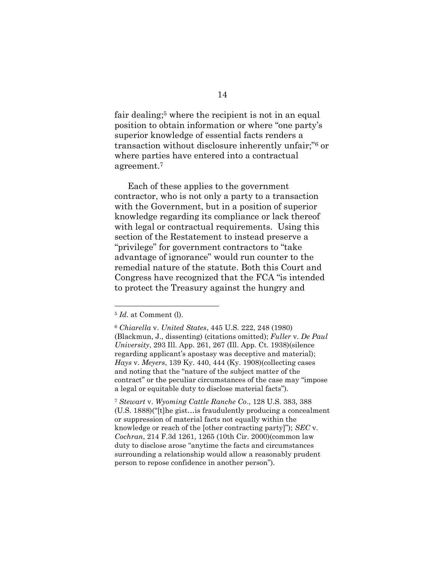fair dealing; <sup>5</sup> where the recipient is not in an equal position to obtain information or where "one party's superior knowledge of essential facts renders a transaction without disclosure inherently unfair;" <sup>6</sup> or where parties have entered into a contractual agreement.<sup>7</sup>

Each of these applies to the government contractor, who is not only a party to a transaction with the Government, but in a position of superior knowledge regarding its compliance or lack thereof with legal or contractual requirements. Using this section of the Restatement to instead preserve a "privilege" for government contractors to "take advantage of ignorance" would run counter to the remedial nature of the statute. Both this Court and Congress have recognized that the FCA "is intended to protect the Treasury against the hungry and

 $\overline{a}$ 

<sup>7</sup> *Stewart* v. *Wyoming Cattle Ranche Co*., 128 U.S. 383, 388 (U.S. 1888)("[t]he gist…is fraudulently producing a concealment or suppression of material facts not equally within the knowledge or reach of the [other contracting party]"); *SEC* v. *Cochran*, 214 F.3d 1261, 1265 (10th Cir. 2000)(common law duty to disclose arose "anytime the facts and circumstances surrounding a relationship would allow a reasonably prudent person to repose confidence in another person").

<sup>5</sup> *Id.* at Comment (l).

<sup>6</sup> *Chiarella* v. *United States*, 445 U.S. 222, 248 (1980) (Blackmun, J., dissenting) (citations omitted); *Fuller* v. *De Paul University*, 293 Ill. App. 261, 267 (Ill. App. Ct. 1938)(silence regarding applicant's apostasy was deceptive and material); *Hays* v. *Meyers*, 139 Ky. 440, 444 (Ky. 1908)(collecting cases and noting that the "nature of the subject matter of the contract" or the peculiar circumstances of the case may "impose a legal or equitable duty to disclose material facts").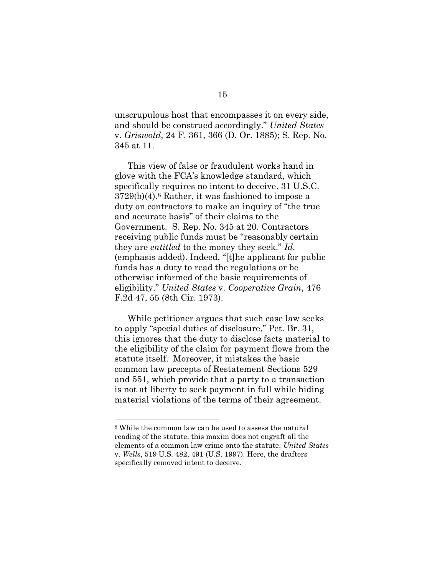unscrupulous host that encompasses it on every side, and should be construed accordingly." *United States* v. *Griswold*, 24 F. 361, 366 (D. Or. 1885); S. Rep. No. 345 at 11.

This view of false or fraudulent works hand in glove with the FCA's knowledge standard, which specifically requires no intent to deceive. 31 U.S.C. 3729(b)(4).<sup>8</sup> Rather, it was fashioned to impose a duty on contractors to make an inquiry of "the true and accurate basis" of their claims to the Government. S. Rep. No. 345 at 20. Contractors receiving public funds must be "reasonably certain they are *entitled* to the money they seek." *Id.*  (emphasis added). Indeed, "[t]he applicant for public funds has a duty to read the regulations or be otherwise informed of the basic requirements of eligibility." *United States* v. *Cooperative Grain*, 476 F.2d 47, 55 (8th Cir. 1973).

While petitioner argues that such case law seeks to apply "special duties of disclosure," Pet. Br. 31, this ignores that the duty to disclose facts material to the eligibility of the claim for payment flows from the statute itself. Moreover, it mistakes the basic common law precepts of Restatement Sections 529 and 551, which provide that a party to a transaction is not at liberty to seek payment in full while hiding material violations of the terms of their agreement.

<sup>8</sup> While the common law can be used to assess the natural reading of the statute, this maxim does not engraft all the elements of a common law crime onto the statute. *United States*  v. *Wells*, 519 U.S. 482, 491 (U.S. 1997). Here, the drafters specifically removed intent to deceive.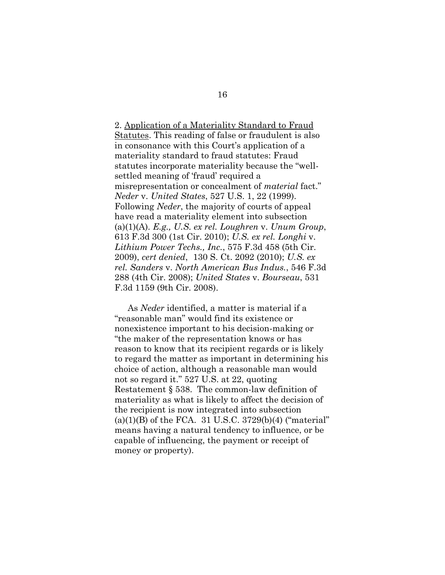2. Application of a Materiality Standard to Fraud Statutes. This reading of false or fraudulent is also in consonance with this Court's application of a materiality standard to fraud statutes: Fraud statutes incorporate materiality because the "wellsettled meaning of 'fraud' required a misrepresentation or concealment of *material* fact." *Neder* v. *United States*, 527 U.S. 1, 22 (1999). Following *Neder*, the majority of courts of appeal have read a materiality element into subsection (a)(1)(A). *E.g., U.S. ex rel. Loughren* v. *Unum Group*, 613 F.3d 300 (1st Cir. 2010); *U.S. ex rel. Longhi* v. *Lithium Power Techs., Inc.*, 575 F.3d 458 (5th Cir. 2009), *cert denied*, 130 S. Ct. 2092 (2010); *U.S. ex rel. Sanders* v. *North American Bus Indus.*, 546 F.3d 288 (4th Cir. 2008); *United States* v. *Bourseau*, 531 F.3d 1159 (9th Cir. 2008).

As *Neder* identified, a matter is material if a "reasonable man" would find its existence or nonexistence important to his decision-making or "the maker of the representation knows or has reason to know that its recipient regards or is likely to regard the matter as important in determining his choice of action, although a reasonable man would not so regard it." 527 U.S. at 22, quoting Restatement § 538. The common-law definition of materiality as what is likely to affect the decision of the recipient is now integrated into subsection  $(a)(1)(B)$  of the FCA. 31 U.S.C. 3729(b)(4) ("material" means having a natural tendency to influence, or be capable of influencing, the payment or receipt of money or property).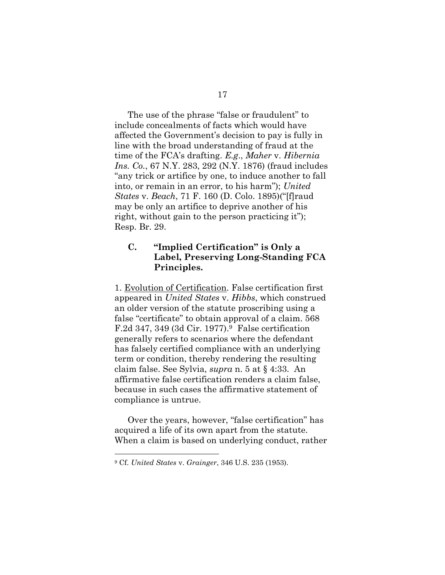The use of the phrase "false or fraudulent" to include concealments of facts which would have affected the Government's decision to pay is fully in line with the broad understanding of fraud at the time of the FCA's drafting. *E.g*., *Maher* v. *Hibernia Ins. Co.*, 67 N.Y. 283, 292 (N.Y. 1876) (fraud includes "any trick or artifice by one, to induce another to fall into, or remain in an error, to his harm"); *United States* v. *Beach*, 71 F. 160 (D. Colo. 1895)("[f]raud may be only an artifice to deprive another of his right, without gain to the person practicing it"); Resp. Br. 29.

## **C. "Implied Certification" is Only a Label, Preserving Long-Standing FCA Principles.**

1. Evolution of Certification. False certification first appeared in *United States* v. *Hibbs*, which construed an older version of the statute proscribing using a false "certificate" to obtain approval of a claim. 568 F.2d 347, 349 (3d Cir. 1977).<sup>9</sup> False certification generally refers to scenarios where the defendant has falsely certified compliance with an underlying term or condition, thereby rendering the resulting claim false. See Sylvia, *supra* n. 5 at § 4:33. An affirmative false certification renders a claim false, because in such cases the affirmative statement of compliance is untrue.

Over the years, however, "false certification" has acquired a life of its own apart from the statute. When a claim is based on underlying conduct, rather

<sup>9</sup> Cf. *United States* v. *Grainger*, 346 U.S. 235 (1953).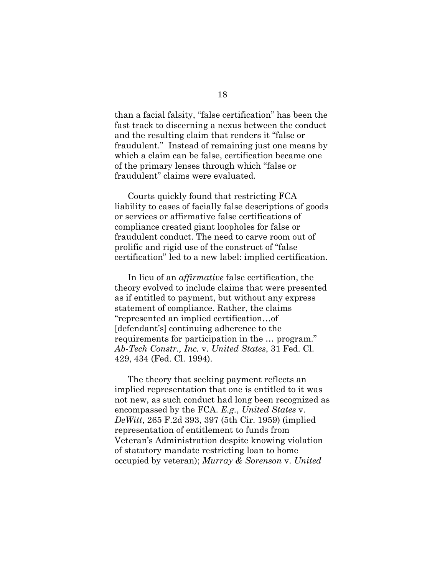than a facial falsity, "false certification" has been the fast track to discerning a nexus between the conduct and the resulting claim that renders it "false or fraudulent." Instead of remaining just one means by which a claim can be false, certification became one of the primary lenses through which "false or fraudulent" claims were evaluated.

Courts quickly found that restricting FCA liability to cases of facially false descriptions of goods or services or affirmative false certifications of compliance created giant loopholes for false or fraudulent conduct. The need to carve room out of prolific and rigid use of the construct of "false certification" led to a new label: implied certification.

In lieu of an *affirmative* false certification, the theory evolved to include claims that were presented as if entitled to payment, but without any express statement of compliance. Rather, the claims "represented an implied certification…of [defendant's] continuing adherence to the requirements for participation in the … program." *Ab-Tech Constr., Inc.* v. *United States*, 31 Fed. Cl. 429, 434 (Fed. Cl. 1994).

The theory that seeking payment reflects an implied representation that one is entitled to it was not new, as such conduct had long been recognized as encompassed by the FCA. *E.g.*, *United States* v. *DeWitt*, 265 F.2d 393, 397 (5th Cir. 1959) (implied representation of entitlement to funds from Veteran's Administration despite knowing violation of statutory mandate restricting loan to home occupied by veteran); *Murray & Sorenson* v. *United*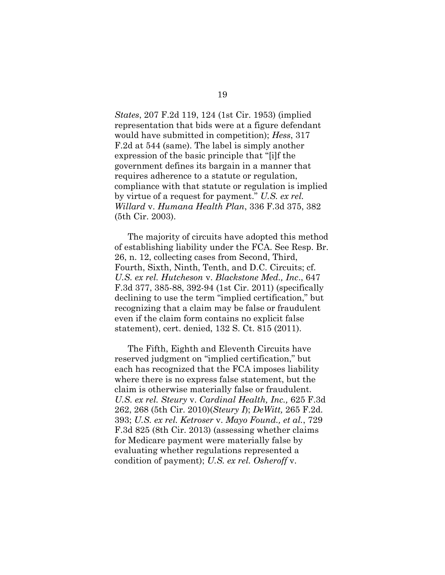*States*, 207 F.2d 119, 124 (1st Cir. 1953) (implied representation that bids were at a figure defendant would have submitted in competition); *Hess*, 317 F.2d at 544 (same). The label is simply another expression of the basic principle that "[i]f the government defines its bargain in a manner that requires adherence to a statute or regulation, compliance with that statute or regulation is implied by virtue of a request for payment." *U.S. ex rel. Willard* v. *Humana Health Plan*, 336 F.3d 375, 382 (5th Cir. 2003).

The majority of circuits have adopted this method of establishing liability under the FCA. See Resp. Br. 26, n. 12, collecting cases from Second, Third, Fourth, Sixth, Ninth, Tenth, and D.C. Circuits; cf. *U.S. ex rel. Hutcheson* v. *Blackstone Med., Inc*., 647 F.3d 377, 385-88, 392-94 (1st Cir. 2011) (specifically declining to use the term "implied certification," but recognizing that a claim may be false or fraudulent even if the claim form contains no explicit false statement), cert. denied, 132 S. Ct. 815 (2011).

The Fifth, Eighth and Eleventh Circuits have reserved judgment on "implied certification," but each has recognized that the FCA imposes liability where there is no express false statement, but the claim is otherwise materially false or fraudulent. *U.S. ex rel. Steury* v. *Cardinal Health, Inc.,* 625 F.3d 262, 268 (5th Cir. 2010)(*Steury I*); *DeWitt,* 265 F.2d. 393; *U.S. ex rel. Ketroser* v. *Mayo Found., et al.*, 729 F.3d 825 (8th Cir. 2013) (assessing whether claims for Medicare payment were materially false by evaluating whether regulations represented a condition of payment); *U.S. ex rel. Osheroff* v.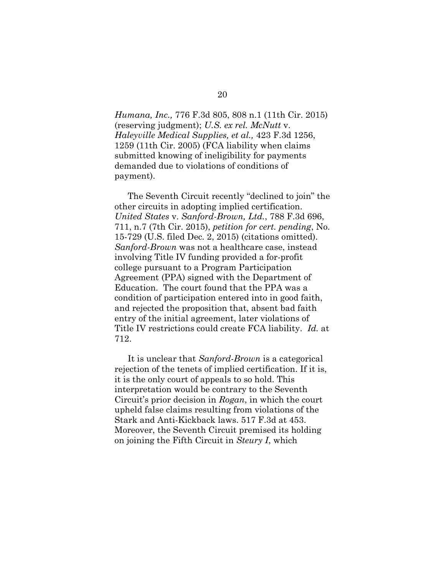*Humana, Inc.,* 776 F.3d 805, 808 n.1 (11th Cir. 2015) (reserving judgment); *U.S. ex rel. McNutt* v. *Haleyville Medical Supplies, et al.,* 423 F.3d 1256, 1259 (11th Cir. 2005) (FCA liability when claims submitted knowing of ineligibility for payments demanded due to violations of conditions of payment).

The Seventh Circuit recently "declined to join" the other circuits in adopting implied certification. *United States* v. *Sanford-Brown, Ltd.*, 788 F.3d 696, 711, n.7 (7th Cir. 2015), *petition for cert. pending*, No. 15-729 (U.S. filed Dec. 2, 2015) (citations omitted). *Sanford-Brown* was not a healthcare case, instead involving Title IV funding provided a for-profit college pursuant to a Program Participation Agreement (PPA) signed with the Department of Education. The court found that the PPA was a condition of participation entered into in good faith, and rejected the proposition that, absent bad faith entry of the initial agreement, later violations of Title IV restrictions could create FCA liability. *Id.* at 712.

It is unclear that *Sanford-Brown* is a categorical rejection of the tenets of implied certification. If it is, it is the only court of appeals to so hold. This interpretation would be contrary to the Seventh Circuit's prior decision in *Rogan*, in which the court upheld false claims resulting from violations of the Stark and Anti-Kickback laws. 517 F.3d at 453. Moreover, the Seventh Circuit premised its holding on joining the Fifth Circuit in *Steury I*, which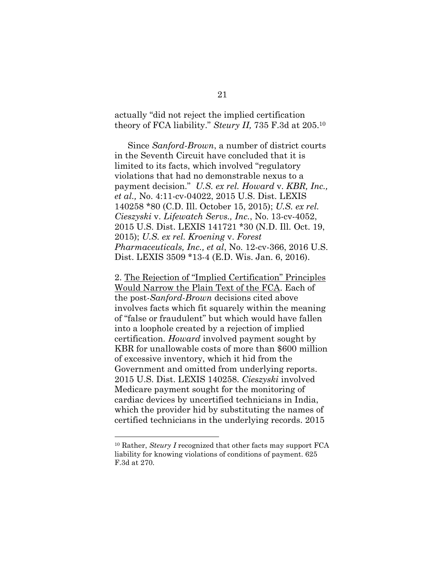actually "did not reject the implied certification theory of FCA liability." *Steury II,* 735 F.3d at 205.<sup>10</sup>

Since *Sanford-Brown*, a number of district courts in the Seventh Circuit have concluded that it is limited to its facts, which involved "regulatory violations that had no demonstrable nexus to a payment decision." *U.S. ex rel. Howard* v*. KBR, Inc., et al.,* No. 4:11-cv-04022, 2015 U.S. Dist. LEXIS 140258 \*80 (C.D. Ill. October 15, 2015); *U.S. ex rel. Cieszyski* v. *Lifewatch Servs., Inc.*, No. 13-cv-4052, 2015 U.S. Dist. LEXIS 141721 \*30 (N.D. Ill. Oct. 19, 2015); *U.S. ex rel. Kroening* v. *Forest Pharmaceuticals, Inc., et al*, No. 12-cv-366, 2016 U.S. Dist. LEXIS 3509 \*13-4 (E.D. Wis. Jan. 6, 2016).

2. The Rejection of "Implied Certification" Principles Would Narrow the Plain Text of the FCA. Each of the post-*Sanford*-*Brown* decisions cited above involves facts which fit squarely within the meaning of "false or fraudulent" but which would have fallen into a loophole created by a rejection of implied certification. *Howard* involved payment sought by KBR for unallowable costs of more than \$600 million of excessive inventory, which it hid from the Government and omitted from underlying reports. 2015 U.S. Dist. LEXIS 140258. *Cieszyski* involved Medicare payment sought for the monitoring of cardiac devices by uncertified technicians in India, which the provider hid by substituting the names of certified technicians in the underlying records. 2015

<sup>10</sup> Rather, *Steury I* recognized that other facts may support FCA liability for knowing violations of conditions of payment. 625 F.3d at 270.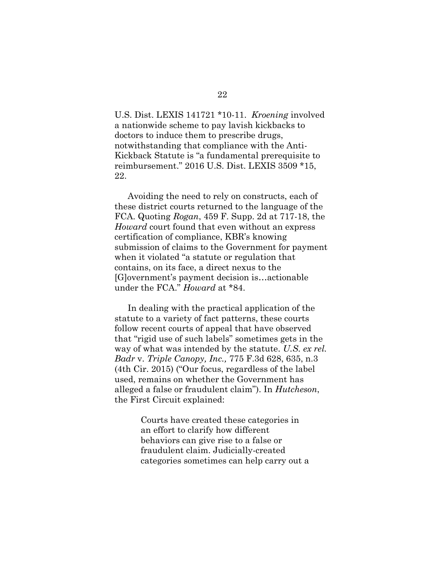U.S. Dist. LEXIS 141721 \*10-11. *Kroening* involved a nationwide scheme to pay lavish kickbacks to doctors to induce them to prescribe drugs, notwithstanding that compliance with the Anti-Kickback Statute is "a fundamental prerequisite to reimbursement." 2016 U.S. Dist. LEXIS 3509 \*15, 22.

Avoiding the need to rely on constructs, each of these district courts returned to the language of the FCA. Quoting *Rogan*, 459 F. Supp. 2d at 717-18, the *Howard* court found that even without an express certification of compliance, KBR's knowing submission of claims to the Government for payment when it violated "a statute or regulation that contains, on its face, a direct nexus to the [G]overnment's payment decision is…actionable under the FCA." *Howard* at \*84.

In dealing with the practical application of the statute to a variety of fact patterns, these courts follow recent courts of appeal that have observed that "rigid use of such labels" sometimes gets in the way of what was intended by the statute. *U.S. ex rel. Badr* v. *Triple Canopy, Inc.,* 775 F.3d 628, 635, n.3 (4th Cir. 2015) ("Our focus, regardless of the label used, remains on whether the Government has alleged a false or fraudulent claim"). In *Hutcheson*, the First Circuit explained:

> Courts have created these categories in an effort to clarify how different behaviors can give rise to a false or fraudulent claim. Judicially-created categories sometimes can help carry out a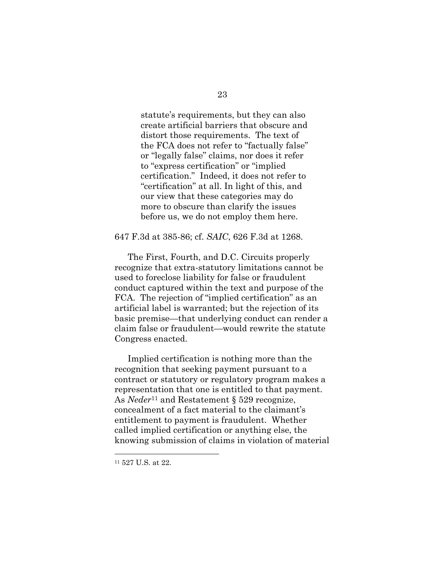statute's requirements, but they can also create artificial barriers that obscure and distort those requirements. The text of the FCA does not refer to "factually false" or "legally false" claims, nor does it refer to "express certification" or "implied certification." Indeed, it does not refer to "certification" at all. In light of this, and our view that these categories may do more to obscure than clarify the issues before us, we do not employ them here.

#### 647 F.3d at 385-86; cf. *SAIC*, 626 F.3d at 1268.

The First, Fourth, and D.C. Circuits properly recognize that extra-statutory limitations cannot be used to foreclose liability for false or fraudulent conduct captured within the text and purpose of the FCA. The rejection of "implied certification" as an artificial label is warranted; but the rejection of its basic premise—that underlying conduct can render a claim false or fraudulent—would rewrite the statute Congress enacted.

Implied certification is nothing more than the recognition that seeking payment pursuant to a contract or statutory or regulatory program makes a representation that one is entitled to that payment. As *Neder*<sup>11</sup> and Restatement § 529 recognize, concealment of a fact material to the claimant's entitlement to payment is fraudulent. Whether called implied certification or anything else, the knowing submission of claims in violation of material

<sup>11</sup> 527 U.S. at 22.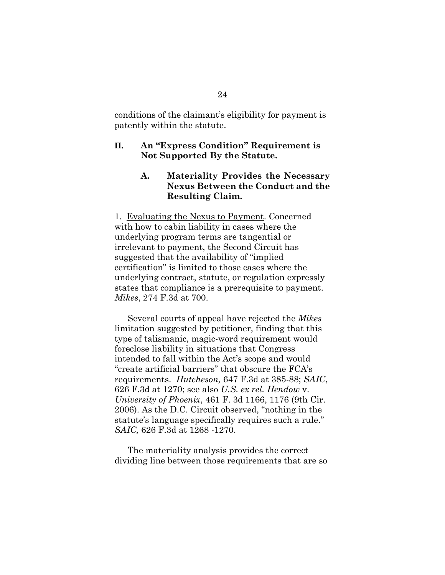conditions of the claimant's eligibility for payment is patently within the statute.

#### **II. An "Express Condition" Requirement is Not Supported By the Statute.**

### **A. Materiality Provides the Necessary Nexus Between the Conduct and the Resulting Claim.**

1. Evaluating the Nexus to Payment. Concerned with how to cabin liability in cases where the underlying program terms are tangential or irrelevant to payment, the Second Circuit has suggested that the availability of "implied certification" is limited to those cases where the underlying contract, statute, or regulation expressly states that compliance is a prerequisite to payment. *Mikes*, 274 F.3d at 700.

Several courts of appeal have rejected the *Mikes* limitation suggested by petitioner, finding that this type of talismanic, magic-word requirement would foreclose liability in situations that Congress intended to fall within the Act's scope and would "create artificial barriers" that obscure the FCA's requirements. *Hutcheson,* 647 F.3d at 385-88; *SAIC*, 626 F.3d at 1270; see also *U.S. ex rel. Hendow* v. *University of Phoenix*, 461 F. 3d 1166, 1176 (9th Cir. 2006). As the D.C. Circuit observed, "nothing in the statute's language specifically requires such a rule." *SAIC,* 626 F.3d at 1268 -1270.

The materiality analysis provides the correct dividing line between those requirements that are so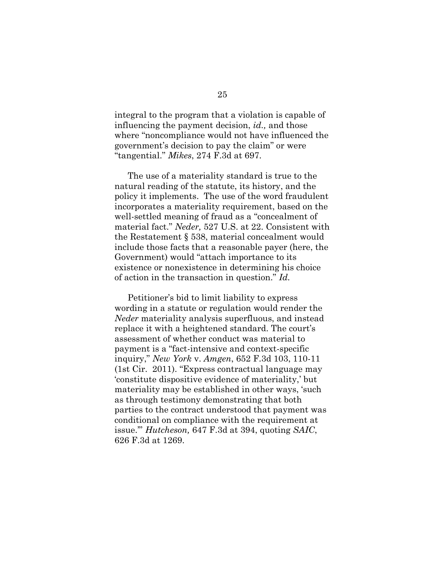integral to the program that a violation is capable of influencing the payment decision, *id.,* and those where "noncompliance would not have influenced the government's decision to pay the claim" or were "tangential." *Mikes*, 274 F.3d at 697.

The use of a materiality standard is true to the natural reading of the statute, its history, and the policy it implements. The use of the word fraudulent incorporates a materiality requirement, based on the well-settled meaning of fraud as a "concealment of material fact." *Neder,* 527 U.S. at 22. Consistent with the Restatement § 538, material concealment would include those facts that a reasonable payer (here, the Government) would "attach importance to its existence or nonexistence in determining his choice of action in the transaction in question." *Id.*

Petitioner's bid to limit liability to express wording in a statute or regulation would render the *Neder* materiality analysis superfluous, and instead replace it with a heightened standard. The court's assessment of whether conduct was material to payment is a "fact-intensive and context-specific inquiry," *New York* v. *Amgen*, 652 F.3d 103, 110-11 (1st Cir. 2011). "Express contractual language may 'constitute dispositive evidence of materiality,' but materiality may be established in other ways, 'such as through testimony demonstrating that both parties to the contract understood that payment was conditional on compliance with the requirement at issue.'" *Hutcheson,* 647 F.3d at 394, quoting *SAIC*, 626 F.3d at 1269.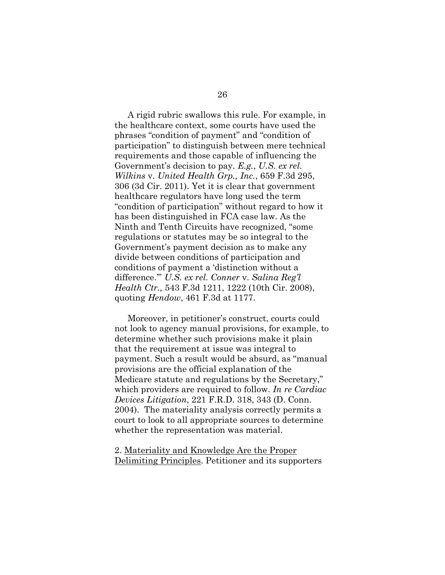A rigid rubric swallows this rule. For example, in the healthcare context, some courts have used the phrases "condition of payment" and "condition of participation" to distinguish between mere technical requirements and those capable of influencing the Government's decision to pay. *E.g.*, *U.S. ex rel. Wilkins* v. *United Health Grp., Inc.*, 659 F.3d 295, 306 (3d Cir. 2011). Yet it is clear that government healthcare regulators have long used the term "condition of participation" without regard to how it has been distinguished in FCA case law. As the Ninth and Tenth Circuits have recognized, "some regulations or statutes may be so integral to the Government's payment decision as to make any divide between conditions of participation and conditions of payment a 'distinction without a difference.'" *U.S. ex rel. Conner* v. *Salina Reg'l Health Ctr.,* 543 F.3d 1211, 1222 (10th Cir. 2008), quoting *Hendow*, 461 F.3d at 1177.

Moreover, in petitioner's construct, courts could not look to agency manual provisions, for example, to determine whether such provisions make it plain that the requirement at issue was integral to payment. Such a result would be absurd, as "manual provisions are the official explanation of the Medicare statute and regulations by the Secretary," which providers are required to follow. *In re Cardiac Devices Litigation*, 221 F.R.D. 318, 343 (D. Conn. 2004). The materiality analysis correctly permits a court to look to all appropriate sources to determine whether the representation was material.

2. Materiality and Knowledge Are the Proper Delimiting Principles. Petitioner and its supporters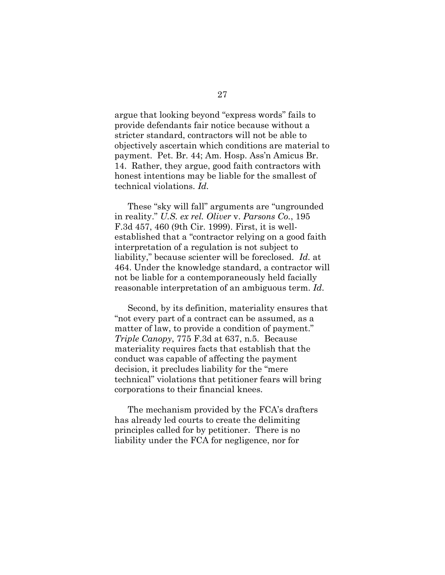argue that looking beyond "express words" fails to provide defendants fair notice because without a stricter standard, contractors will not be able to objectively ascertain which conditions are material to payment. Pet. Br. 44; Am. Hosp. Ass'n Amicus Br. 14. Rather, they argue, good faith contractors with honest intentions may be liable for the smallest of technical violations. *Id.* 

These "sky will fall" arguments are "ungrounded in reality." *U.S. ex rel. Oliver* v. *Parsons Co.*, 195 F.3d 457, 460 (9th Cir. 1999). First, it is wellestablished that a "contractor relying on a good faith interpretation of a regulation is not subject to liability," because scienter will be foreclosed. *Id.* at 464. Under the knowledge standard, a contractor will not be liable for a contemporaneously held facially reasonable interpretation of an ambiguous term. *Id*.

Second, by its definition, materiality ensures that "not every part of a contract can be assumed, as a matter of law, to provide a condition of payment." *Triple Canopy*, 775 F.3d at 637, n.5. Because materiality requires facts that establish that the conduct was capable of affecting the payment decision, it precludes liability for the "mere technical" violations that petitioner fears will bring corporations to their financial knees.

The mechanism provided by the FCA's drafters has already led courts to create the delimiting principles called for by petitioner. There is no liability under the FCA for negligence, nor for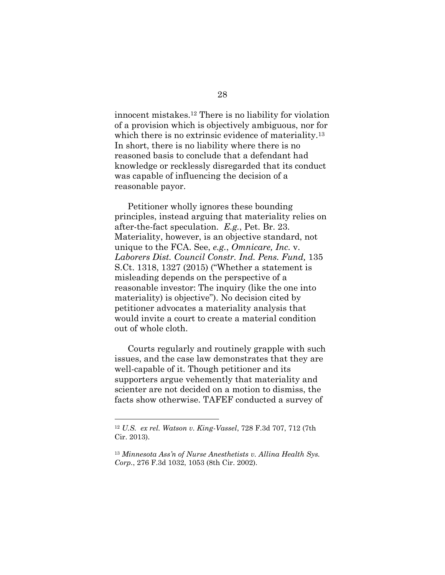innocent mistakes.<sup>12</sup> There is no liability for violation of a provision which is objectively ambiguous, nor for which there is no extrinsic evidence of materiality.<sup>13</sup> In short, there is no liability where there is no reasoned basis to conclude that a defendant had knowledge or recklessly disregarded that its conduct was capable of influencing the decision of a reasonable payor.

Petitioner wholly ignores these bounding principles, instead arguing that materiality relies on after-the-fact speculation. *E.g.*, Pet. Br. 23. Materiality, however, is an objective standard, not unique to the FCA. See, *e.g.*, *Omnicare, Inc.* v. *Laborers Dist. Council Constr. Ind. Pens. Fund,* 135 S.Ct. 1318, 1327 (2015) ("Whether a statement is misleading depends on the perspective of a reasonable investor: The inquiry (like the one into materiality) is objective"). No decision cited by petitioner advocates a materiality analysis that would invite a court to create a material condition out of whole cloth.

Courts regularly and routinely grapple with such issues, and the case law demonstrates that they are well-capable of it. Though petitioner and its supporters argue vehemently that materiality and scienter are not decided on a motion to dismiss, the facts show otherwise. TAFEF conducted a survey of

<sup>12</sup> *U.S. ex rel. Watson v. King-Vassel*, 728 F.3d 707, 712 (7th Cir. 2013).

<sup>13</sup> *Minnesota Ass'n of Nurse Anesthetists v. Allina Health Sys. Corp.*, 276 F.3d 1032, 1053 (8th Cir. 2002).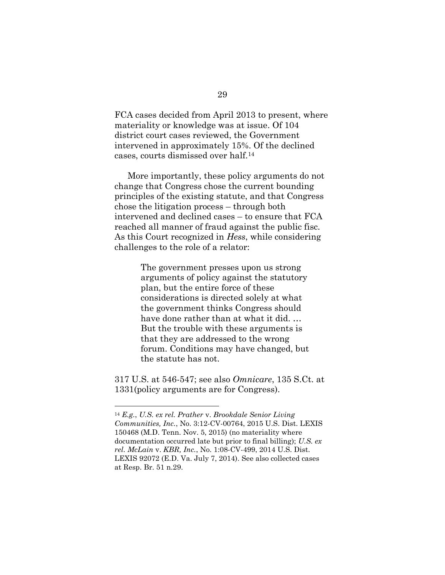FCA cases decided from April 2013 to present, where materiality or knowledge was at issue. Of 104 district court cases reviewed, the Government intervened in approximately 15%. Of the declined cases, courts dismissed over half.<sup>14</sup>

More importantly, these policy arguments do not change that Congress chose the current bounding principles of the existing statute, and that Congress chose the litigation process – through both intervened and declined cases – to ensure that FCA reached all manner of fraud against the public fisc. As this Court recognized in *Hess*, while considering challenges to the role of a relator:

> The government presses upon us strong arguments of policy against the statutory plan, but the entire force of these considerations is directed solely at what the government thinks Congress should have done rather than at what it did. … But the trouble with these arguments is that they are addressed to the wrong forum. Conditions may have changed, but the statute has not.

317 U.S. at 546-547; see also *Omnicare*, 135 S.Ct. at 1331(policy arguments are for Congress).

<sup>14</sup> *E.g.*, *U.S. ex rel. Prather* v. *Brookdale Senior Living Communities, Inc.*, No. 3:12-CV-00764, 2015 U.S. Dist. LEXIS 150468 (M.D. Tenn. Nov. 5, 2015) (no materiality where documentation occurred late but prior to final billing); *U.S. ex rel. McLain* v. *KBR, Inc.*, No. 1:08-CV-499, 2014 U.S. Dist. LEXIS 92072 (E.D. Va. July 7, 2014). See also collected cases at Resp. Br. 51 n.29.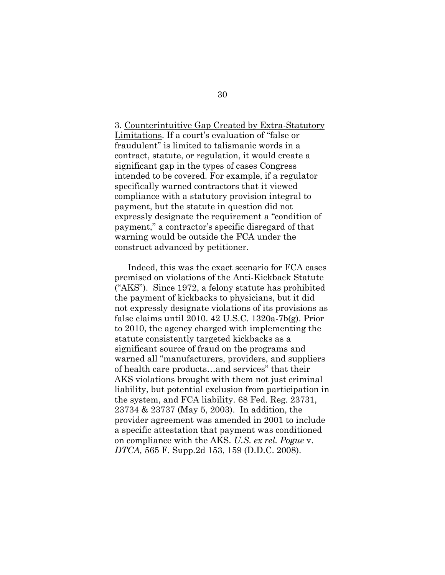## 3. Counterintuitive Gap Created by Extra-Statutory Limitations. If a court's evaluation of "false or fraudulent" is limited to talismanic words in a contract, statute, or regulation, it would create a significant gap in the types of cases Congress intended to be covered. For example, if a regulator specifically warned contractors that it viewed compliance with a statutory provision integral to payment, but the statute in question did not expressly designate the requirement a "condition of payment," a contractor's specific disregard of that warning would be outside the FCA under the construct advanced by petitioner.

Indeed, this was the exact scenario for FCA cases premised on violations of the Anti-Kickback Statute ("AKS"). Since 1972, a felony statute has prohibited the payment of kickbacks to physicians, but it did not expressly designate violations of its provisions as false claims until 2010. 42 U.S.C. 1320a-7b(g). Prior to 2010, the agency charged with implementing the statute consistently targeted kickbacks as a significant source of fraud on the programs and warned all "manufacturers, providers, and suppliers of health care products…and services" that their AKS violations brought with them not just criminal liability, but potential exclusion from participation in the system, and FCA liability. 68 Fed. Reg. 23731, 23734 & 23737 (May 5, 2003). In addition, the provider agreement was amended in 2001 to include a specific attestation that payment was conditioned on compliance with the AKS. *U.S. ex rel. Pogue* v. *DTCA,* 565 F. Supp.2d 153, 159 (D.D.C. 2008).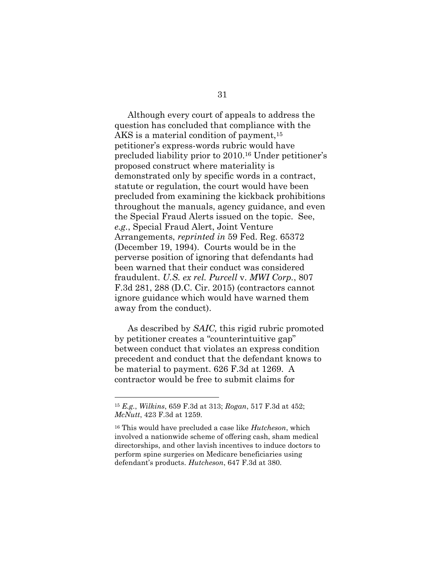Although every court of appeals to address the question has concluded that compliance with the AKS is a material condition of payment,<sup>15</sup> petitioner's express-words rubric would have precluded liability prior to 2010. <sup>16</sup> Under petitioner's proposed construct where materiality is demonstrated only by specific words in a contract, statute or regulation, the court would have been precluded from examining the kickback prohibitions throughout the manuals, agency guidance, and even the Special Fraud Alerts issued on the topic. See, *e.g.*, Special Fraud Alert, Joint Venture Arrangements, *reprinted in* 59 Fed. Reg. 65372 (December 19, 1994). Courts would be in the perverse position of ignoring that defendants had been warned that their conduct was considered fraudulent. *U.S. ex rel. Purcell* v. *MWI Corp.*, 807 F.3d 281, 288 (D.C. Cir. 2015) (contractors cannot ignore guidance which would have warned them away from the conduct).

As described by *SAIC,* this rigid rubric promoted by petitioner creates a "counterintuitive gap" between conduct that violates an express condition precedent and conduct that the defendant knows to be material to payment. 626 F.3d at 1269. A contractor would be free to submit claims for

<sup>15</sup> *E.g.*, *Wilkins*, 659 F.3d at 313; *Rogan*, 517 F.3d at 452; *McNutt*, 423 F.3d at 1259.

<sup>16</sup> This would have precluded a case like *Hutcheson*, which involved a nationwide scheme of offering cash, sham medical directorships, and other lavish incentives to induce doctors to perform spine surgeries on Medicare beneficiaries using defendant's products. *Hutcheson*, 647 F.3d at 380.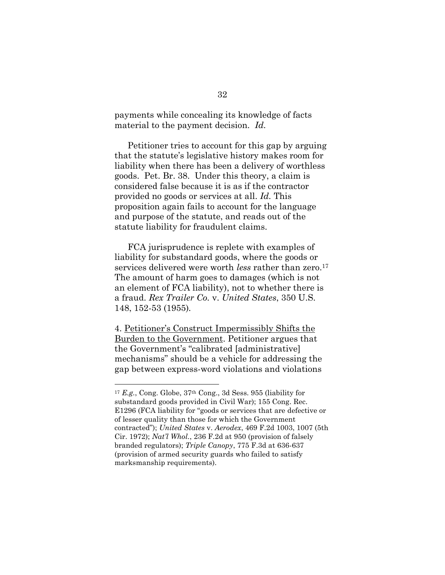payments while concealing its knowledge of facts material to the payment decision. *Id.*

Petitioner tries to account for this gap by arguing that the statute's legislative history makes room for liability when there has been a delivery of worthless goods. Pet. Br. 38. Under this theory, a claim is considered false because it is as if the contractor provided no goods or services at all. *Id.* This proposition again fails to account for the language and purpose of the statute, and reads out of the statute liability for fraudulent claims.

FCA jurisprudence is replete with examples of liability for substandard goods, where the goods or services delivered were worth *less* rather than zero.<sup>17</sup> The amount of harm goes to damages (which is not an element of FCA liability), not to whether there is a fraud. *Rex Trailer Co.* v. *United States*, 350 U.S. 148, 152-53 (1955)*.*

4. Petitioner's Construct Impermissibly Shifts the Burden to the Government. Petitioner argues that the Government's "calibrated [administrative] mechanisms" should be a vehicle for addressing the gap between express-word violations and violations

<sup>17</sup> *E.g.*, Cong. Globe, 37th Cong., 3d Sess. 955 (liability for substandard goods provided in Civil War); 155 Cong. Rec. E1296 (FCA liability for "goods or services that are defective or of lesser quality than those for which the Government contracted"); *United States* v. *Aerodex*, 469 F.2d 1003, 1007 (5th Cir. 1972); *Nat'l Whol.*, 236 F.2d at 950 (provision of falsely branded regulators); *Triple Canopy*, 775 F.3d at 636-637 (provision of armed security guards who failed to satisfy marksmanship requirements).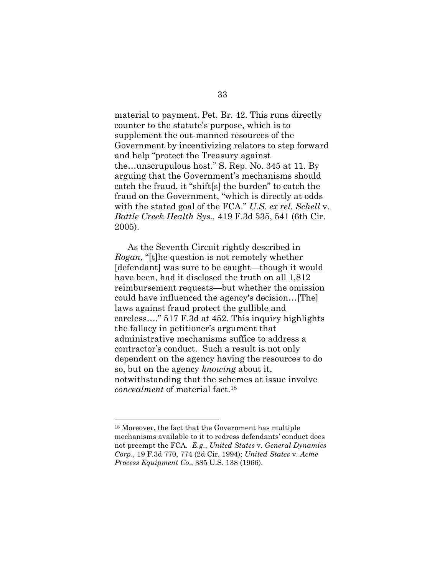material to payment. Pet. Br. 42. This runs directly counter to the statute's purpose, which is to supplement the out-manned resources of the Government by incentivizing relators to step forward and help "protect the Treasury against the…unscrupulous host." S. Rep. No. 345 at 11. By arguing that the Government's mechanisms should catch the fraud, it "shift[s] the burden" to catch the fraud on the Government, "which is directly at odds with the stated goal of the FCA." *U.S. ex rel. Schell* v. *Battle Creek Health Sys.,* 419 F.3d 535, 541 (6th Cir. 2005).

As the Seventh Circuit rightly described in *Rogan*, "[t]he question is not remotely whether [defendant] was sure to be caught—though it would have been, had it disclosed the truth on all 1,812 reimbursement requests—but whether the omission could have influenced the agency's decision…[The] laws against fraud protect the gullible and careless…." 517 F.3d at 452. This inquiry highlights the fallacy in petitioner's argument that administrative mechanisms suffice to address a contractor's conduct. Such a result is not only dependent on the agency having the resources to do so, but on the agency *knowing* about it, notwithstanding that the schemes at issue involve *concealment* of material fact.<sup>18</sup>

<sup>18</sup> Moreover, the fact that the Government has multiple mechanisms available to it to redress defendants' conduct does not preempt the FCA. *E.g.*, *United States* v. *General Dynamics Corp*., 19 F.3d 770, 774 (2d Cir. 1994); *[United States](https://www.lexis.com/research/buttonTFLink?_m=5a201a9ca554699b564fe563c9cad485&_xfercite=%3ccite%20cc%3d%22USA%22%3e%3c%21%5bCDATA%5b19%20F.3d%20770%5d%5d%3e%3c%2fcite%3e&_butType=3&_butStat=2&_butNum=89&_butInline=1&_butinfo=%3ccite%20cc%3d%22USA%22%3e%3c%21%5bCDATA%5b385%20U.S.%20138%5d%5d%3e%3c%2fcite%3e&_fmtstr=FULL&docnum=1&_startdoc=1&wchp=dGLzVzk-zSkAb&_md5=46434dfe923f8477d7a3431b16eaefac)* v. *Acme Process Equipment Co*[., 385 U.S. 138](https://www.lexis.com/research/buttonTFLink?_m=5a201a9ca554699b564fe563c9cad485&_xfercite=%3ccite%20cc%3d%22USA%22%3e%3c%21%5bCDATA%5b19%20F.3d%20770%5d%5d%3e%3c%2fcite%3e&_butType=3&_butStat=2&_butNum=89&_butInline=1&_butinfo=%3ccite%20cc%3d%22USA%22%3e%3c%21%5bCDATA%5b385%20U.S.%20138%5d%5d%3e%3c%2fcite%3e&_fmtstr=FULL&docnum=1&_startdoc=1&wchp=dGLzVzk-zSkAb&_md5=46434dfe923f8477d7a3431b16eaefac) (1966).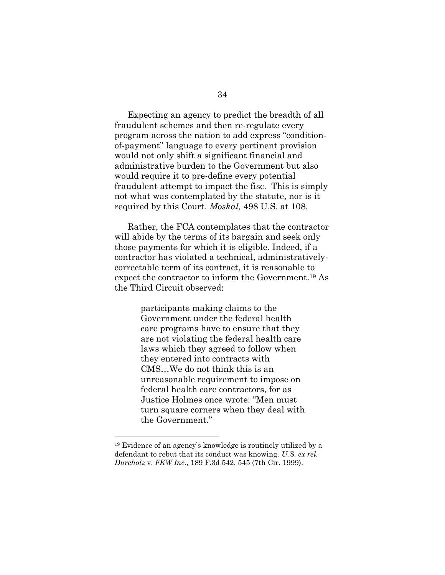Expecting an agency to predict the breadth of all fraudulent schemes and then re-regulate every program across the nation to add express "conditionof-payment" language to every pertinent provision would not only shift a significant financial and administrative burden to the Government but also would require it to pre-define every potential fraudulent attempt to impact the fisc. This is simply not what was contemplated by the statute, nor is it required by this Court. *Moskal,* 498 U.S. at 108.

Rather, the FCA contemplates that the contractor will abide by the terms of its bargain and seek only those payments for which it is eligible. Indeed, if a contractor has violated a technical, administrativelycorrectable term of its contract, it is reasonable to expect the contractor to inform the Government. <sup>19</sup> As the Third Circuit observed:

> participants making claims to the Government under the federal health care programs have to ensure that they are not violating the federal health care laws which they agreed to follow when they entered into contracts with CMS…We do not think this is an unreasonable requirement to impose on federal health care contractors, for as Justice Holmes once wrote: "Men must turn square corners when they deal with the Government."

<sup>19</sup> Evidence of an agency's knowledge is routinely utilized by a defendant to rebut that its conduct was knowing. *U.S. ex rel. Durcholz* v. *FKW Inc.*, 189 F.3d 542, 545 (7th Cir. 1999).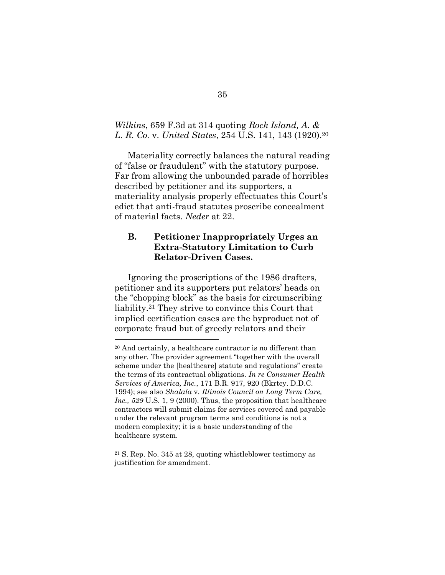### *Wilkins*, 659 F.3d at 314 quoting *Rock Island, A. & L. R. Co.* v. *United States*, 254 U.S. 141, 143 (1920).<sup>20</sup>

Materiality correctly balances the natural reading of "false or fraudulent" with the statutory purpose. Far from allowing the unbounded parade of horribles described by petitioner and its supporters, a materiality analysis properly effectuates this Court's edict that anti-fraud statutes proscribe concealment of material facts. *Neder* at 22.

## **B. Petitioner Inappropriately Urges an Extra-Statutory Limitation to Curb Relator-Driven Cases.**

Ignoring the proscriptions of the 1986 drafters, petitioner and its supporters put relators' heads on the "chopping block" as the basis for circumscribing liability.<sup>21</sup> They strive to convince this Court that implied certification cases are the byproduct not of corporate fraud but of greedy relators and their

<sup>20</sup> And certainly, a healthcare contractor is no different than any other. The provider agreement "together with the overall scheme under the [healthcare] statute and regulations" create the terms of its contractual obligations. *In re Consumer Health Services of America, Inc.*, 171 B.R. 917, 920 (Bkrtcy. D.D.C. 1994); see also *Shalala* v. *Illinois Council on Long Term Care, Inc., 529* U.S. 1, 9 (2000). Thus, the proposition that healthcare contractors will submit claims for services covered and payable under the relevant program terms and conditions is not a modern complexity; it is a basic understanding of the healthcare system.

<sup>21</sup> S. Rep. No. 345 at 28, quoting whistleblower testimony as justification for amendment.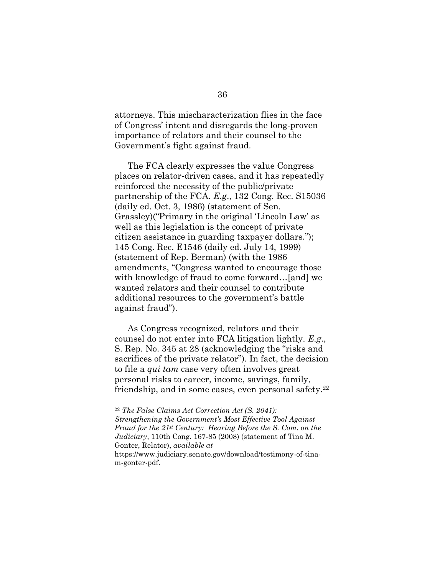attorneys. This mischaracterization flies in the face of Congress' intent and disregards the long-proven importance of relators and their counsel to the Government's fight against fraud.

The FCA clearly expresses the value Congress places on relator-driven cases, and it has repeatedly reinforced the necessity of the public/private partnership of the FCA. *E.g*., 132 Cong. Rec. S15036 (daily ed. Oct. 3, 1986) (statement of Sen. Grassley)("Primary in the original 'Lincoln Law' as well as this legislation is the concept of private citizen assistance in guarding taxpayer dollars."); 145 Cong. Rec. E1546 (daily ed. July 14, 1999) (statement of Rep. Berman) (with the 1986 amendments, "Congress wanted to encourage those with knowledge of fraud to come forward...[and] we wanted relators and their counsel to contribute additional resources to the government's battle against fraud").

As Congress recognized, relators and their counsel do not enter into FCA litigation lightly. *E.g*., S. Rep. No. 345 at 28 (acknowledging the "risks and sacrifices of the private relator"). In fact, the decision to file a *qui tam* case very often involves great personal risks to career, income, savings, family, friendship, and in some cases, even personal safety.<sup>22</sup>

<sup>22</sup> *The False Claims Act Correction Act (S. 2041):* 

*Strengthening the Government's Most Effective Tool Against Fraud for the 21st Century: Hearing Before the S. Com. on the Judiciary*, 110th Cong. 167-85 (2008) (statement of Tina M. Gonter, Relator), *available at*

https://www.judiciary.senate.gov/download/testimony-of-tinam-gonter-pdf.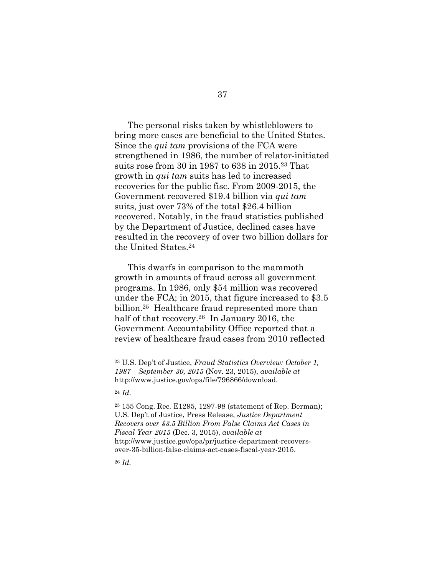The personal risks taken by whistleblowers to bring more cases are beneficial to the United States. Since the *qui tam* provisions of the FCA were strengthened in 1986, the number of relator-initiated suits rose from 30 in 1987 to 638 in 2015.<sup>23</sup> That growth in *qui tam* suits has led to increased recoveries for the public fisc. From 2009-2015, the Government recovered \$19.4 billion via *qui tam* suits, just over 73% of the total \$26.4 billion recovered. Notably, in the fraud statistics published by the Department of Justice, declined cases have resulted in the recovery of over two billion dollars for the United States.<sup>24</sup>

This dwarfs in comparison to the mammoth growth in amounts of fraud across all government programs. In 1986, only \$54 million was recovered under the FCA; in 2015, that figure increased to \$3.5 billion.25 Healthcare fraud represented more than half of that recovery.26 In January 2016, the Government Accountability Office reported that a review of healthcare fraud cases from 2010 reflected

<sup>24</sup> *Id*.

 $\overline{a}$ 

<sup>26</sup> *Id.*

<sup>23</sup> U.S. Dep't of Justice, *Fraud Statistics Overview: October 1, 1987 – September 30, 2015* (Nov. 23, 2015), *available at*  http://www.justice.gov/opa/file/796866/download.

<sup>25</sup> 155 Cong. Rec. E1295, 1297-98 (statement of Rep. Berman); U.S. Dep't of Justice, Press Release, *Justice Department Recovers over \$3.5 Billion From False Claims Act Cases in Fiscal Year 2015* (Dec. 3, 2015), *available at*  http://www.justice.gov/opa/pr/justice-department-recoversover-35-billion-false-claims-act-cases-fiscal-year-2015.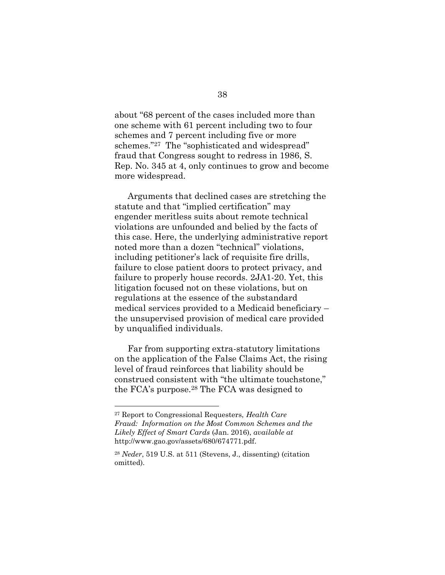about "68 percent of the cases included more than one scheme with 61 percent including two to four schemes and 7 percent including five or more schemes."27 The "sophisticated and widespread" fraud that Congress sought to redress in 1986, S. Rep. No. 345 at 4, only continues to grow and become more widespread.

Arguments that declined cases are stretching the statute and that "implied certification" may engender meritless suits about remote technical violations are unfounded and belied by the facts of this case. Here, the underlying administrative report noted more than a dozen "technical" violations, including petitioner's lack of requisite fire drills, failure to close patient doors to protect privacy, and failure to properly house records. 2JA1-20. Yet, this litigation focused not on these violations, but on regulations at the essence of the substandard medical services provided to a Medicaid beneficiary – the unsupervised provision of medical care provided by unqualified individuals.

Far from supporting extra-statutory limitations on the application of the False Claims Act, the rising level of fraud reinforces that liability should be construed consistent with "the ultimate touchstone," the FCA's purpose. <sup>28</sup> The FCA was designed to

<sup>27</sup> Report to Congressional Requesters, *Health Care Fraud: Information on the Most Common Schemes and the Likely Effect of Smart Cards* (Jan. 2016), *available at*  http://www.gao.gov/assets/680/674771.pdf.

<sup>28</sup> *Neder*, 519 U.S. at 511 (Stevens, J., dissenting) (citation omitted).